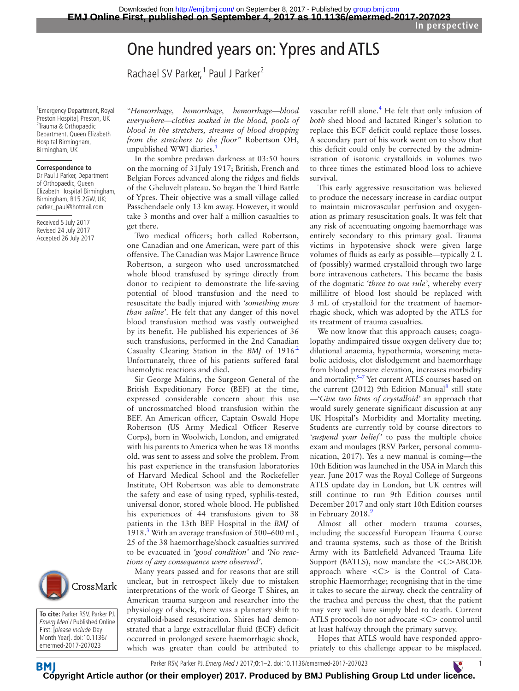# One hundred years on: Ypres and ATLS

Rachael SV Parker,<sup>1</sup> Paul J Parker<sup>2</sup>

1 Emergency Department, Royal Preston Hospital, Preston, UK <sup>2</sup>Trauma & Orthopaedic Department, Queen Elizabeth Hospital Birmingham, Birmingham, UK

### **Correspondence to**

Dr Paul J Parker, Department of Orthopaedic, Queen Elizabeth Hospital Birmingham, Birmingham, B15 2GW, UK; parker\_paul@hotmail.com

Received 5 July 2017 Revised 24 July 2017 Accepted 26 July 2017



In the sombre predawn darkness at 03:50 hours on the morning of 31July 1917; British, French and Belgian Forces advanced along the ridges and fields of the Gheluvelt plateau. So began the Third Battle of Ypres. Their objective was a small village called Passchendaele only 13 km away. However, it would take 3 months and over half a million casualties to get there.

Two medical officers; both called Robertson, one Canadian and one American, were part of this offensive. The Canadian was Major Lawrence Bruce Robertson, a surgeon who used uncrossmatched whole blood transfused by syringe directly from donor to recipient to demonstrate the life-saving potential of blood transfusion and the need to resuscitate the badly injured with *'something more than saline'*. He felt that any danger of this novel blood transfusion method was vastly outweighed by its benefit. He published his experiences of 36 such transfusions, performed in the 2nd Canadian Casualty Clearing Station in the *BMJ* of 191[6.2](#page-1-1) Unfortunately, three of his patients suffered fatal haemolytic reactions and died.

Sir George Makins, the Surgeon General of the British Expeditionary Force (BEF) at the time, expressed considerable concern about this use of uncrossmatched blood transfusion within the BEF. An American officer, Captain Oswald Hope Robertson (US Army Medical Officer Reserve Corps), born in Woolwich, London, and emigrated with his parents to America when he was 18 months old, was sent to assess and solve the problem. From his past experience in the transfusion laboratories of Harvard Medical School and the Rockefeller Institute, OH Robertson was able to demonstrate the safety and ease of using typed, syphilis-tested, universal donor, stored whole blood. He published his experiences of 44 transfusions given to 38 patients in the 13th BEF Hospital in the *BMJ* of 1918.[3](#page-1-2) With an average transfusion of 500**–**600 mL, 25 of the 38 haemorrhage/shock casualties survived to be evacuated in *'good condition'* and *'No reactions of any consequence were observed'*.

Many years passed and for reasons that are still unclear, but in retrospect likely due to mistaken interpretations of the work of George T Shires, an American trauma surgeon and researcher into the physiology of shock, there was a planetary shift to crystalloid-based resuscitation. Shires had demonstrated that a large extracellular fluid (ECF) deficit occurred in prolonged severe haemorrhagic shock, which was greater than could be attributed to vascular refill alone.<sup>[4](#page-1-3)</sup> He felt that only infusion of *both* shed blood and lactated Ringer's solution to replace this ECF deficit could replace those losses. A secondary part of his work went on to show that this deficit could only be corrected by the administration of isotonic crystalloids in volumes two to three times the estimated blood loss to achieve survival.

This early aggressive resuscitation was believed to produce the necessary increase in cardiac output to maintain microvascular perfusion and oxygenation as primary resuscitation goals. It was felt that any risk of accentuating ongoing haemorrhage was entirely secondary to this primary goal. Trauma victims in hypotensive shock were given large volumes of fluids as early as possible**—**typically 2 L of (possibly) warmed crystalloid through two large bore intravenous catheters. This became the basis of the dogmatic *'three to one rule'*, whereby every millilitre of blood lost should be replaced with 3 mL of crystalloid for the treatment of haemorrhagic shock, which was adopted by the ATLS for its treatment of trauma casualties.

We now know that this approach causes; coagulopathy andimpaired tissue oxygen delivery due to; dilutional anaemia, hypothermia, worsening metabolic acidosis, clot dislodgement and haemorrhage from blood pressure elevation, increases morbidity and mortality.<sup>5–7</sup> Yet current ATLS courses based on the current (2012) 9th Edition Manual<sup>8</sup> still state **—***'Give two litres of crystalloid'* an approach that would surely generate significant discussion at any UK Hospital's Morbidity and Mortality meeting. Students are currently told by course directors to *'suspend your belief'* to pass the multiple choice exam and moulages (RSV Parker, personal communication, 2017). Yes a new manual is coming**—**the 10th Edition was launched in the USA in March this year. June 2017 was the Royal College of Surgeons ATLS update day in London, but UK centres will still continue to run 9th Edition courses until December 2017 and only start 10th Edition courses in February 2018.<sup>[9](#page-1-6)</sup>

Almost all other modern trauma courses, including the successful European Trauma Course and trauma systems, such as those of the British Army with its Battlefield Advanced Trauma Life Support (BATLS), now mandate the <C>ABCDE approach where <C> is the Control of Catastrophic Haemorrhage; recognising that in the time it takes to secure the airway, check the centrality of the trachea and percuss the chest, that the patient may very well have simply bled to death. Current ATLS protocols do not advocate <C> control until at least halfway through the primary survey.

Hopes that ATLS would have responded appropriately to this challenge appear to be misplaced.



**To cite:** Parker RSV, Parker PJ. Emerg Med J Published Online First: [please include Day Month Year]. doi:10.1136/ emermed-2017-207023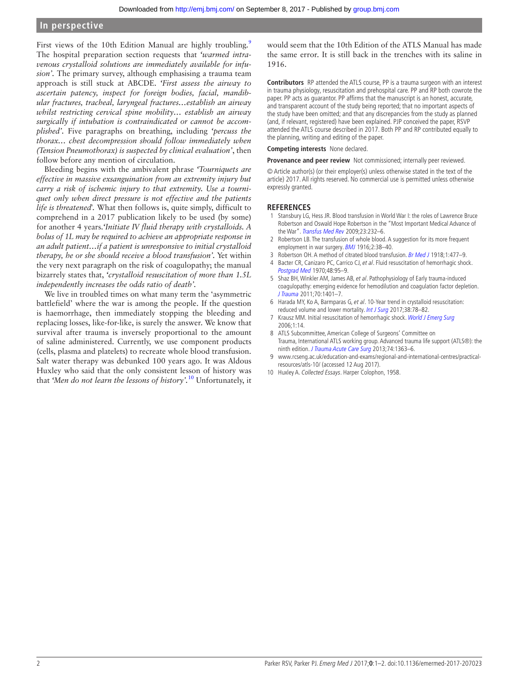## **In perspective**

First views of the 10th Edition Manual are highly troubling.<sup>9</sup> The hospital preparation section requests that *'warmed intravenous crystalloid solutions are immediately available for infusion'.* The primary survey, although emphasising a trauma team approach is still stuck at ABCDE. *'First assess the airway to ascertain patency, inspect for foreign bodies, facial, mandibular fractures, tracheal, laryngeal fractures…establish an airway whilst restricting cervical spine mobility… establish an airway surgically if intubation is contraindicated or cannot be accomplished'.* Five paragraphs on breathing, including *'percuss the thorax… chest decompression should follow immediately when (Tension Pneumothorax) is suspected by clinical evaluation'*, then follow before any mention of circulation.

Bleeding begins with the ambivalent phrase *'Tourniquets are effective in massive exsanguination from an extremity injury but carry a risk of ischemic injury to that extremity. Use a tourniquet only when direct pressure is not effective and the patients life is threatened'.* What then follows is, quite simply, difficult to comprehend in a 2017 publication likely to be used (by some) for another 4 years.*'Initiate IV fluid therapy with crystalloids. A bolus of 1L may be required to achieve an appropriate response in an adult patient…if a patient is unresponsive to initial crystalloid therapy, he or she should receive a blood transfusion'.* Yet within the very next paragraph on the risk of coagulopathy; the manual bizarrely states that, *'crystalloid resuscitation of more than 1.5L independently increases the odds ratio of death'.*

We live in troubled times on what many term the 'asymmetric battlefield' where the war is among the people. If the question is haemorrhage, then immediately stopping the bleeding and replacing losses, like-for-like, is surely the answer. We know that survival after trauma is inversely proportional to the amount of saline administered. Currently, we use component products (cells, plasma and platelets) to recreate whole blood transfusion. Salt water therapy was debunked 100 years ago. It was Aldous Huxley who said that the only consistent lesson of history was that *'Men do not learn the lessons of history'.*[10](#page-1-7) Unfortunately, it

would seem that the 10th Edition of the ATLS Manual has made the same error. It is still back in the trenches with its saline in 1916.

**Contributors** RP attended the ATLS course, PP is a trauma surgeon with an interest in trauma physiology, resuscitation and prehospital care. PP and RP both cowrote the paper. PP acts as guarantor. PP affirms that the manuscript is an honest, accurate, and transparent account of the study being reported; that no important aspects of the study have been omitted; and that any discrepancies from the study as planned (and, if relevant, registered) have been explained. PJP conceived the paper, RSVP attended the ATLS course described in 2017. Both PP and RP contributed equally to the planning, writing and editing of the paper.

**Competing interests** None declared.

**Provenance and peer review** Not commissioned; internally peer reviewed.

© Article author(s) (or their employer(s) unless otherwise stated in the text of the article) 2017. All rights reserved. No commercial use is permitted unless otherwise expressly granted.

#### **References**

- <span id="page-1-0"></span>1 Stansbury LG, Hess JR. Blood transfusion in World War I: the roles of Lawrence Bruce Robertson and Oswald Hope Robertson in the "Most Important Medical Advance of the War". [Transfus Med Rev](http://dx.doi.org/10.1016/j.tmrv.2009.03.007) 2009;23:232–6.
- <span id="page-1-1"></span>2 Robertson LB. The transfusion of whole blood. A suggestion for its more frequent employment in war surgery. [BMJ](http://dx.doi.org/10.1136/bmj.2.2897.38) 1916;2:38–40.
- <span id="page-1-2"></span>3 Robertson OH. A method of citrated blood transfusion. [Br Med J](http://dx.doi.org/10.1136/bmj.1.2991.477) 1918;1:477-9.
- <span id="page-1-3"></span>4 Bacter CR, Canizaro PC, Carrico CJ, et al. Fluid resuscitation of hemorrhagic shock. Postgrad Med 1970;48:95–9.
- <span id="page-1-4"></span>5 Shaz BH, Winkler AM, James AB, et al. Pathophysiology of Early trauma-induced coagulopathy: emerging evidence for hemodilution and coagulation factor depletion. [J Trauma](http://dx.doi.org/10.1097/TA.0b013e31821266e0) 2011;70:1401–7.
- 6 Harada MY, Ko A, Barmparas G, et al. 10-Year trend in crystalloid resuscitation: reduced volume and lower mortality. [Int J Surg](http://dx.doi.org/10.1016/j.ijsu.2016.12.073) 2017;38:78–82.
- 7 Krausz MM. Initial resuscitation of hemorrhagic shock. [World J Emerg Surg](http://dx.doi.org/10.1186/1749-7922-1-14) 2006;1:14.
- <span id="page-1-5"></span>8 ATLS Subcommittee, American College of Surgeons' Committee on Trauma, International ATLS working group. Advanced trauma life support (ATLS®): the ninth edition. [J Trauma Acute Care Surg](http://dx.doi.org/10.1097/TA.0b013e31828b82f5) 2013;74:1363-6.
- <span id="page-1-6"></span>9 [www.rcseng.ac.uk/education-and-exams/regional-and-international-centres/practical](www.rcseng.ac.uk/education-and-exams/regional-and-international-centres/practical-resources/atls-10/)[resources/atls-10/](www.rcseng.ac.uk/education-and-exams/regional-and-international-centres/practical-resources/atls-10/) (accessed 12 Aug 2017).
- <span id="page-1-7"></span>10 Huxley A. Collected Essays. Harper Colophon, 1958.